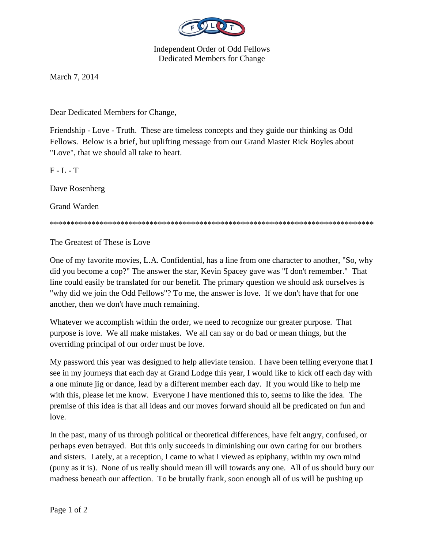

Independent Order of Odd Fellows Dedicated Members for Change

March 7, 2014

Dear Dedicated Members for Change,

Friendship - Love - Truth. These are timeless concepts and they guide our thinking as Odd Fellows. Below is a brief, but uplifting message from our Grand Master Rick Boyles about "Love", that we should all take to heart.

 $F - L - T$ 

Dave Rosenberg

Grand Warden

\*\*\*\*\*\*\*\*\*\*\*\*\*\*\*\*\*\*\*\*\*\*\*\*\*\*\*\*\*\*\*\*\*\*\*\*\*\*\*\*\*\*\*\*\*\*\*\*\*\*\*\*\*\*\*\*\*\*\*\*\*\*\*\*\*\*\*\*\*\*\*\*\*\*\*\*\*\*

The Greatest of These is Love

One of my favorite movies, L.A. Confidential, has a line from one character to another, "So, why did you become a cop?" The answer the star, Kevin Spacey gave was "I don't remember." That line could easily be translated for our benefit. The primary question we should ask ourselves is "why did we join the Odd Fellows"? To me, the answer is love. If we don't have that for one another, then we don't have much remaining.

Whatever we accomplish within the order, we need to recognize our greater purpose. That purpose is love. We all make mistakes. We all can say or do bad or mean things, but the overriding principal of our order must be love.

My password this year was designed to help alleviate tension. I have been telling everyone that I see in my journeys that each day at Grand Lodge this year, I would like to kick off each day with a one minute jig or dance, lead by a different member each day. If you would like to help me with this, please let me know. Everyone I have mentioned this to, seems to like the idea. The premise of this idea is that all ideas and our moves forward should all be predicated on fun and love.

In the past, many of us through political or theoretical differences, have felt angry, confused, or perhaps even betrayed. But this only succeeds in diminishing our own caring for our brothers and sisters. Lately, at a reception, I came to what I viewed as epiphany, within my own mind (puny as it is). None of us really should mean ill will towards any one. All of us should bury our madness beneath our affection. To be brutally frank, soon enough all of us will be pushing up